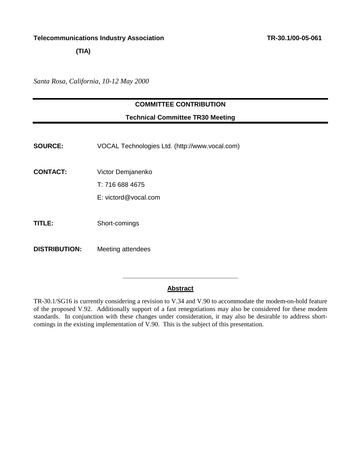**(TIA)** 

*Santa Rosa, California, 10-12 May 2000* 

#### **COMMITTEE CONTRIBUTION**

#### **Technical Committee TR30 Meeting**

**SOURCE:** VOCAL Technologies Ltd. [\(http://www.vocal.com\)](http://www.vocal.com)

**CONTACT:** Victor Demjanenko

T: 716 688 4675

- E: victord@vocal.com
- **TITLE:** Short-comings
- **DISTRIBUTION:** Meeting attendees

#### **Abstract**

**\_\_\_\_\_\_\_\_\_\_\_\_\_\_\_\_\_\_\_\_\_\_\_\_\_\_\_\_\_\_\_\_** 

TR-30.1/SG16 is currently considering a revision to V.34 and V.90 to accommodate the modem-on-hold feature of the proposed V.92. Additionally support of a fast renegotiations may also be considered for these modem standards. In conjunction with these changes under consideration, it may also be desirable to address shortcomings in the existing implementation of V.90. This is the subject of this presentation.